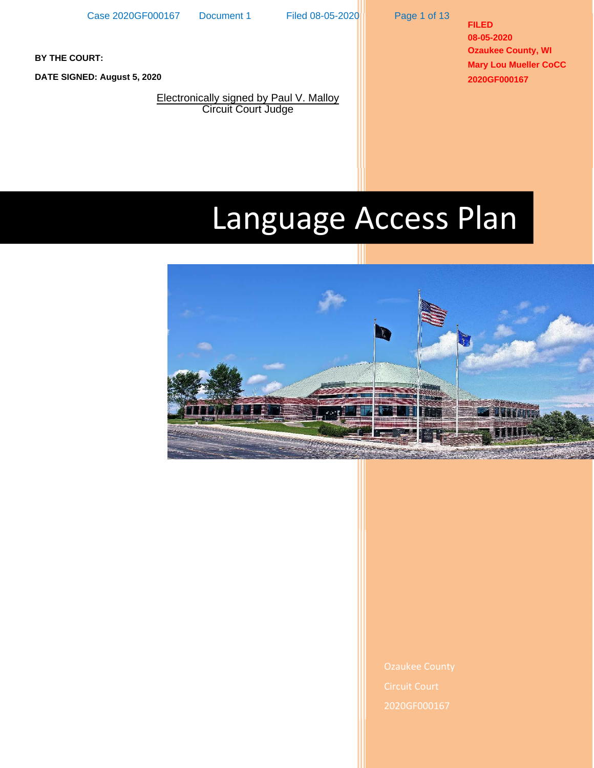Page 1 of 13

**FILED 08-05-2020 Ozaukee County, WI Mary Lou Mueller CoCC 2020GF000167**

**BY THE COURT:**

**DATE SIGNED: August 5, 2020**

Electronically signed by Paul V. Malloy **Circuit Court Judge** 

# Language Access Plan



2020GF000167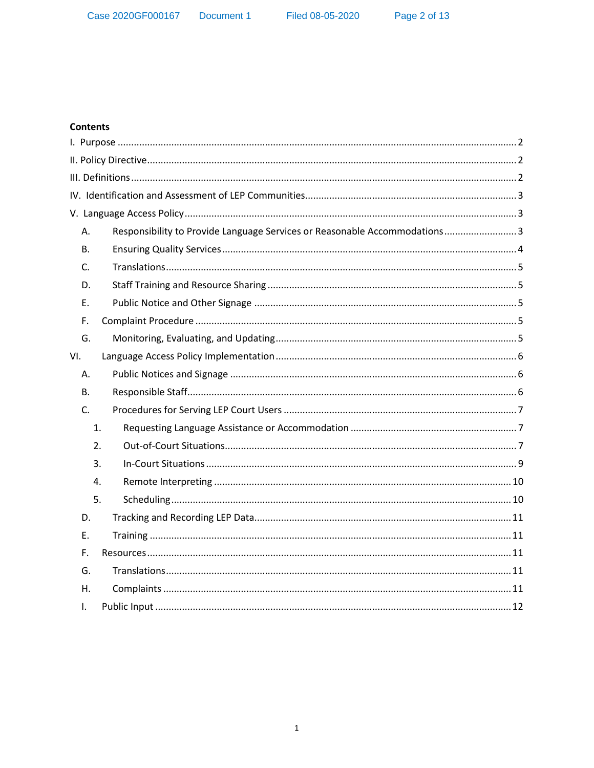Filed 08-05-2020

## **Contents**

| А.  | Responsibility to Provide Language Services or Reasonable Accommodations3 |
|-----|---------------------------------------------------------------------------|
| В.  |                                                                           |
| C.  |                                                                           |
| D.  |                                                                           |
| Ε.  |                                                                           |
| F.  |                                                                           |
| G.  |                                                                           |
| VI. |                                                                           |
| А.  |                                                                           |
| В.  |                                                                           |
| C.  |                                                                           |
|     | 1.                                                                        |
|     | 2.                                                                        |
|     | 3.                                                                        |
|     | 4.                                                                        |
|     | 5.                                                                        |
| D.  |                                                                           |
| Е.  |                                                                           |
| F.  |                                                                           |
| G.  |                                                                           |
| Η.  |                                                                           |
| I.  |                                                                           |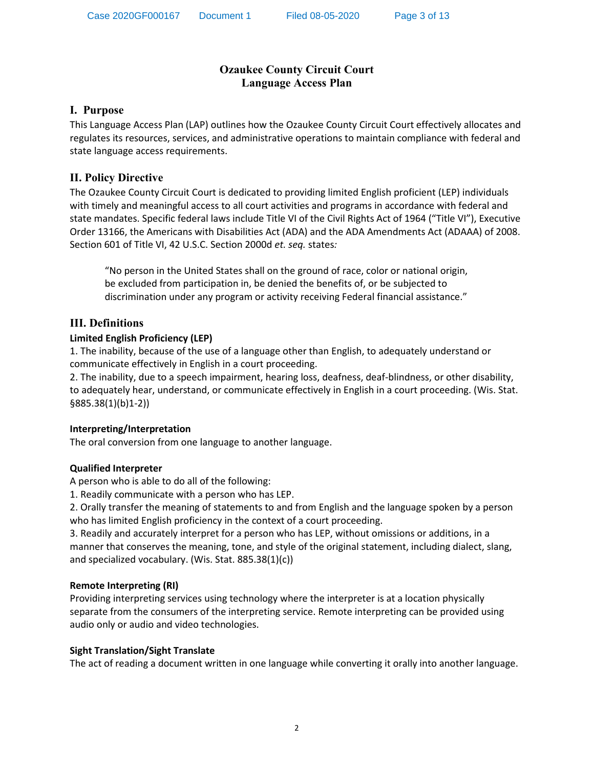# **Ozaukee County Circuit Court Language Access Plan**

## <span id="page-2-0"></span>**I. Purpose**

This Language Access Plan (LAP) outlines how the Ozaukee County Circuit Court effectively allocates and regulates its resources, services, and administrative operations to maintain compliance with federal and state language access requirements.

## **II. Policy Directive**

The Ozaukee County Circuit Court is dedicated to providing limited English proficient (LEP) individuals with timely and meaningful access to all court activities and programs in accordance with federal and state mandates. Specific federal laws include Title VI of the Civil Rights Act of 1964 ("Title VI"), Executive Order 13166, the Americans with Disabilities Act (ADA) and the ADA Amendments Act (ADAAA) of 2008. Section 601 of Title VI, 42 U.S.C. Section 2000d *et. seq.* states*:*

"No person in the United States shall on the ground of race, color or national origin, be excluded from participation in, be denied the benefits of, or be subjected to discrimination under any program or activity receiving Federal financial assistance."

## **III. Definitions**

## **Limited English Proficiency (LEP)**

1. The inability, because of the use of a language other than English, to adequately understand or communicate effectively in English in a court proceeding.

2. The inability, due to a speech impairment, hearing loss, deafness, deaf-blindness, or other disability, to adequately hear, understand, or communicate effectively in English in a court proceeding. (Wis. Stat. §885.38(1)(b)1-2))

## **Interpreting/Interpretation**

The oral conversion from one language to another language.

## **Qualified Interpreter**

A person who is able to do all of the following:

1. Readily communicate with a person who has LEP.

2. Orally transfer the meaning of statements to and from English and the language spoken by a person who has limited English proficiency in the context of a court proceeding.

3. Readily and accurately interpret for a person who has LEP, without omissions or additions, in a manner that conserves the meaning, tone, and style of the original statement, including dialect, slang, and specialized vocabulary. (Wis. Stat. 885.38(1)(c))

## **Remote Interpreting (RI)**

Providing interpreting services using technology where the interpreter is at a location physically separate from the consumers of the interpreting service. Remote interpreting can be provided using audio only or audio and video technologies.

## **Sight Translation/Sight Translate**

The act of reading a document written in one language while converting it orally into another language.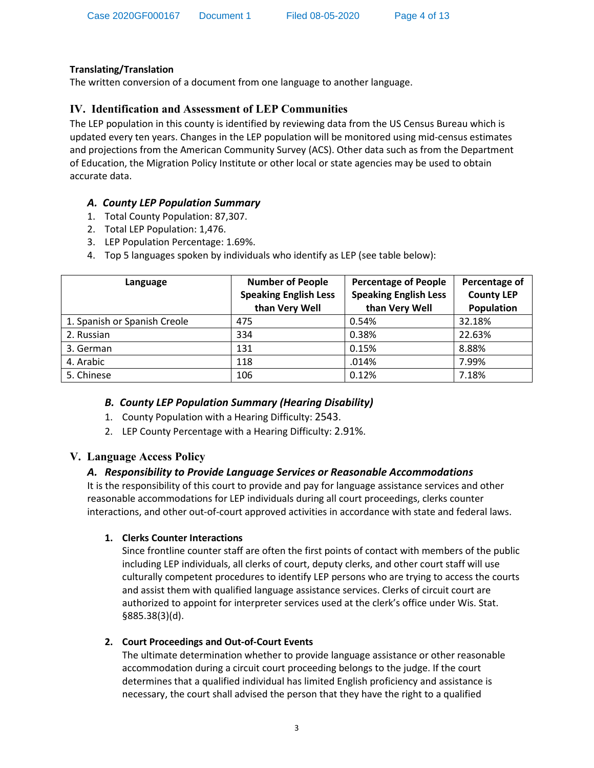## <span id="page-3-0"></span>**Translating/Translation**

The written conversion of a document from one language to another language.

# **IV. Identification and Assessment of LEP Communities**

The LEP population in this county is identified by reviewing data from the US Census Bureau which is updated every ten years. Changes in the LEP population will be monitored using mid-census estimates and projections from the American Community Survey (ACS). Other data such as from the Department of Education, the Migration Policy Institute or other local or state agencies may be used to obtain accurate data.

# *A. County LEP Population Summary*

- 1. Total County Population: 87,307.
- 2. Total LEP Population: 1,476.
- 3. LEP Population Percentage: 1.69%.
- 4. Top 5 languages spoken by individuals who identify as LEP (see table below):

| Language                     | <b>Number of People</b><br><b>Speaking English Less</b><br>than Very Well | <b>Percentage of People</b><br><b>Speaking English Less</b><br>than Very Well | Percentage of<br><b>County LEP</b><br>Population |
|------------------------------|---------------------------------------------------------------------------|-------------------------------------------------------------------------------|--------------------------------------------------|
| 1. Spanish or Spanish Creole | 475                                                                       | 0.54%                                                                         | 32.18%                                           |
| 2. Russian                   | 334                                                                       | 0.38%                                                                         | 22.63%                                           |
| 3. German                    | 131                                                                       | 0.15%                                                                         | 8.88%                                            |
| 4. Arabic                    | 118                                                                       | .014%                                                                         | 7.99%                                            |
| 5. Chinese                   | 106                                                                       | 0.12%                                                                         | 7.18%                                            |

## *B. County LEP Population Summary (Hearing Disability)*

- 1. County Population with a Hearing Difficulty: 2543.
- 2. LEP County Percentage with a Hearing Difficulty: 2.91%.

## **V. Language Access Policy**

## *A. Responsibility to Provide Language Services or Reasonable Accommodations*

It is the responsibility of this court to provide and pay for language assistance services and other reasonable accommodations for LEP individuals during all court proceedings, clerks counter interactions, and other out-of-court approved activities in accordance with state and federal laws.

## **1. Clerks Counter Interactions**

Since frontline counter staff are often the first points of contact with members of the public including LEP individuals, all clerks of court, deputy clerks, and other court staff will use culturally competent procedures to identify LEP persons who are trying to access the courts and assist them with qualified language assistance services. Clerks of circuit court are authorized to appoint for interpreter services used at the clerk's office under Wis. Stat. §885.38(3)(d).

## **2. Court Proceedings and Out-of-Court Events**

The ultimate determination whether to provide language assistance or other reasonable accommodation during a circuit court proceeding belongs to the judge. If the court determines that a qualified individual has limited English proficiency and assistance is necessary, the court shall advised the person that they have the right to a qualified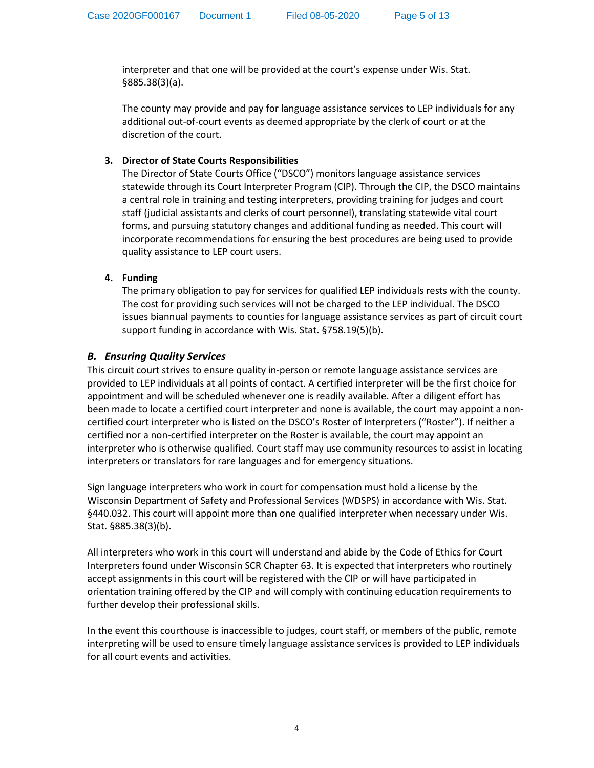<span id="page-4-0"></span>interpreter and that one will be provided at the court's expense under Wis. Stat. §885.38(3)(a).

The county may provide and pay for language assistance services to LEP individuals for any additional out-of-court events as deemed appropriate by the clerk of court or at the discretion of the court.

## **3. Director of State Courts Responsibilities**

The Director of State Courts Office ("DSCO") monitors language assistance services statewide through its Court Interpreter Program (CIP). Through the CIP, the DSCO maintains a central role in training and testing interpreters, providing training for judges and court staff (judicial assistants and clerks of court personnel), translating statewide vital court forms, and pursuing statutory changes and additional funding as needed. This court will incorporate recommendations for ensuring the best procedures are being used to provide quality assistance to LEP court users.

## **4. Funding**

The primary obligation to pay for services for qualified LEP individuals rests with the county. The cost for providing such services will not be charged to the LEP individual. The DSCO issues biannual payments to counties for language assistance services as part of circuit court support funding in accordance with Wis. Stat. §758.19(5)(b).

## *B. Ensuring Quality Services*

This circuit court strives to ensure quality in-person or remote language assistance services are provided to LEP individuals at all points of contact. A certified interpreter will be the first choice for appointment and will be scheduled whenever one is readily available. After a diligent effort has been made to locate a certified court interpreter and none is available, the court may appoint a noncertified court interpreter who is listed on the DSCO's Roster of Interpreters ("Roster"). If neither a certified nor a non-certified interpreter on the Roster is available, the court may appoint an interpreter who is otherwise qualified. Court staff may use community resources to assist in locating interpreters or translators for rare languages and for emergency situations.

Sign language interpreters who work in court for compensation must hold a license by the Wisconsin Department of Safety and Professional Services (WDSPS) in accordance with Wis. Stat. §440.032. This court will appoint more than one qualified interpreter when necessary under Wis. Stat. §885.38(3)(b).

All interpreters who work in this court will understand and abide by the Code of Ethics for Court Interpreters found under Wisconsin SCR Chapter 63. It is expected that interpreters who routinely accept assignments in this court will be registered with the CIP or will have participated in orientation training offered by the CIP and will comply with continuing education requirements to further develop their professional skills.

In the event this courthouse is inaccessible to judges, court staff, or members of the public, remote interpreting will be used to ensure timely language assistance services is provided to LEP individuals for all court events and activities.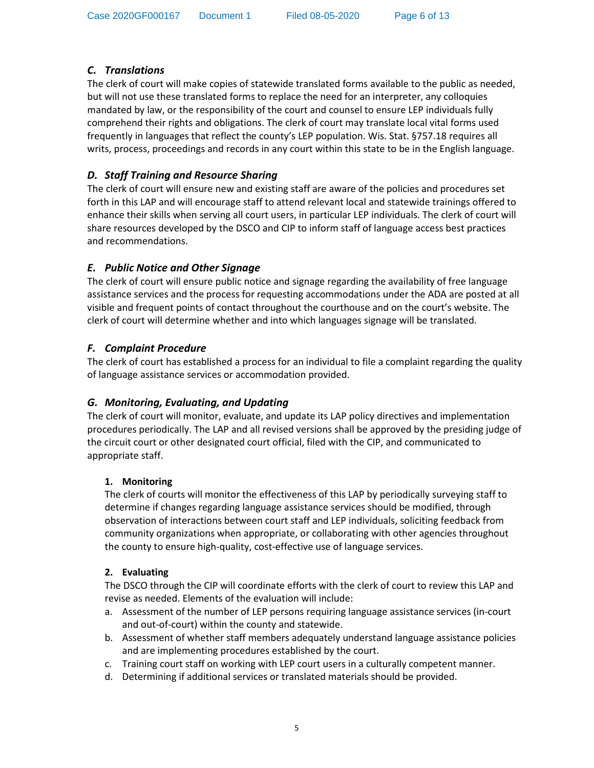# <span id="page-5-0"></span>*C. Translations*

The clerk of court will make copies of statewide translated forms available to the public as needed, but will not use these translated forms to replace the need for an interpreter, any colloquies mandated by law, or the responsibility of the court and counsel to ensure LEP individuals fully comprehend their rights and obligations. The clerk of court may translate local vital forms used frequently in languages that reflect the county's LEP population. Wis. Stat. §757.18 requires all writs, process, proceedings and records in any court within this state to be in the English language.

# *D. Staff Training and Resource Sharing*

The clerk of court will ensure new and existing staff are aware of the policies and procedures set forth in this LAP and will encourage staff to attend relevant local and statewide trainings offered to enhance their skills when serving all court users, in particular LEP individuals. The clerk of court will share resources developed by the DSCO and CIP to inform staff of language access best practices and recommendations.

# *E. Public Notice and Other Signage*

The clerk of court will ensure public notice and signage regarding the availability of free language assistance services and the process for requesting accommodations under the ADA are posted at all visible and frequent points of contact throughout the courthouse and on the court's website. The clerk of court will determine whether and into which languages signage will be translated.

# *F. Complaint Procedure*

The clerk of court has established a process for an individual to file a complaint regarding the quality of language assistance services or accommodation provided.

## *G. Monitoring, Evaluating, and Updating*

The clerk of court will monitor, evaluate, and update its LAP policy directives and implementation procedures periodically. The LAP and all revised versions shall be approved by the presiding judge of the circuit court or other designated court official, filed with the CIP, and communicated to appropriate staff.

## **1. Monitoring**

The clerk of courts will monitor the effectiveness of this LAP by periodically surveying staff to determine if changes regarding language assistance services should be modified, through observation of interactions between court staff and LEP individuals, soliciting feedback from community organizations when appropriate, or collaborating with other agencies throughout the county to ensure high-quality, cost-effective use of language services.

## **2. Evaluating**

The DSCO through the CIP will coordinate efforts with the clerk of court to review this LAP and revise as needed. Elements of the evaluation will include:

- a. Assessment of the number of LEP persons requiring language assistance services (in-court and out-of-court) within the county and statewide.
- b. Assessment of whether staff members adequately understand language assistance policies and are implementing procedures established by the court.
- c. Training court staff on working with LEP court users in a culturally competent manner.
- d. Determining if additional services or translated materials should be provided.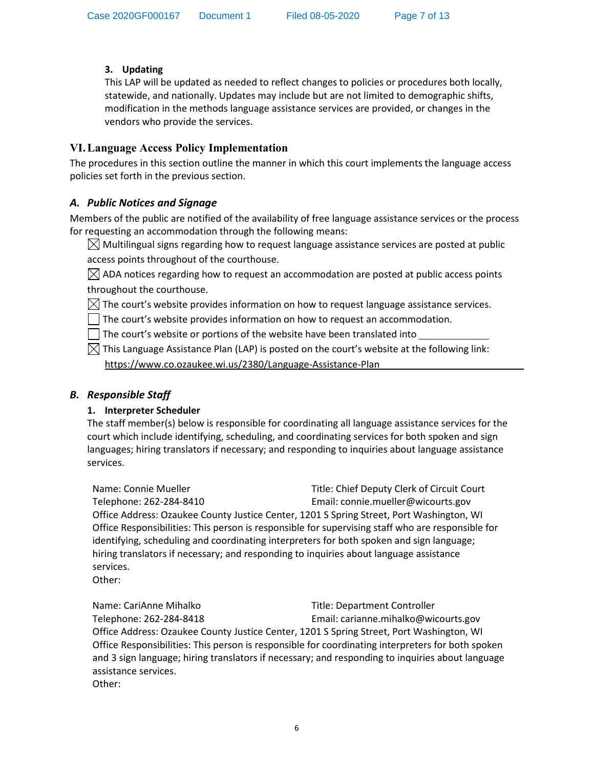# <span id="page-6-0"></span>**3. Updating**

This LAP will be updated as needed to reflect changes to policies or procedures both locally, statewide, and nationally. Updates may include but are not limited to demographic shifts, modification in the methods language assistance services are provided, or changes in the vendors who provide the services.

# **VI. Language Access Policy Implementation**

The procedures in this section outline the manner in which this court implements the language access policies set forth in the previous section.

# *A. Public Notices and Signage*

Members of the public are notified of the availability of free language assistance services or the process for requesting an accommodation through the following means:

 $\boxtimes$  Multilingual signs regarding how to request language assistance services are posted at public access points throughout of the courthouse.

 $\boxtimes$  ADA notices regarding how to request an accommodation are posted at public access points throughout the courthouse.

 $\boxtimes$  The court's website provides information on how to request language assistance services.

 $\Box$  The court's website provides information on how to request an accommodation.

 $\Box$  The court's website or portions of the website have been translated into

 $\boxtimes$  This Language Assistance Plan (LAP) is posted on the court's website at the following link: https://www.co.ozaukee.wi.us/2380/Language-Assistance-Plan

## *B. Responsible Staff*

## **1. Interpreter Scheduler**

The staff member(s) below is responsible for coordinating all language assistance services for the court which include identifying, scheduling, and coordinating services for both spoken and sign languages; hiring translators if necessary; and responding to inquiries about language assistance services.

Name: Connie Mueller Title: Chief Deputy Clerk of Circuit Court Telephone: 262-284-8410 Email: connie.mueller@wicourts.gov Office Address: Ozaukee County Justice Center, 1201 S Spring Street, Port Washington, WI Office Responsibilities: This person is responsible for supervising staff who are responsible for identifying, scheduling and coordinating interpreters for both spoken and sign language; hiring translators if necessary; and responding to inquiries about language assistance services.

Other:

Name: CariAnne Mihalko Title: Department Controller Telephone: 262-284-8418 Email: carianne.mihalko@wicourts.gov Office Address: Ozaukee County Justice Center, 1201 S Spring Street, Port Washington, WI Office Responsibilities: This person is responsible for coordinating interpreters for both spoken and 3 sign language; hiring translators if necessary; and responding to inquiries about language assistance services. Other: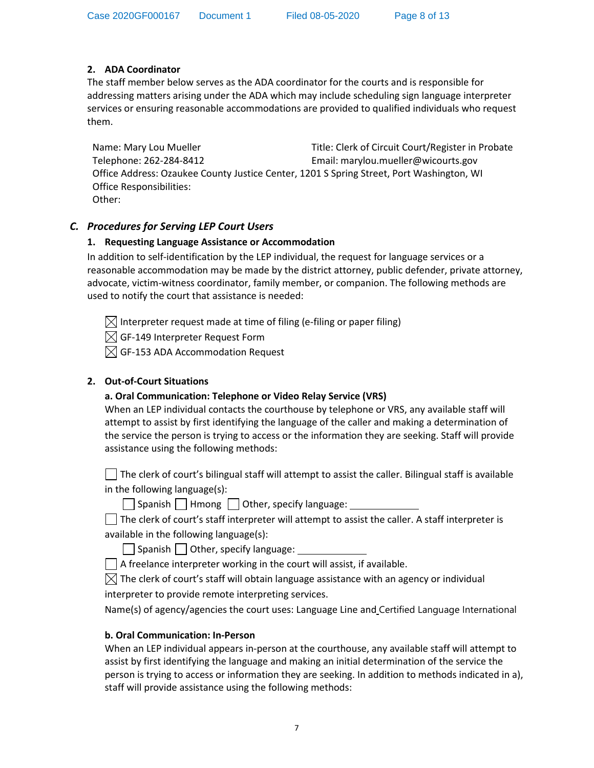## <span id="page-7-0"></span>**2. ADA Coordinator**

The staff member below serves as the ADA coordinator for the courts and is responsible for addressing matters arising under the ADA which may include scheduling sign language interpreter services or ensuring reasonable accommodations are provided to qualified individuals who request them.

Name: Mary Lou Mueller Title: Clerk of Circuit Court/Register in Probate Telephone: 262-284-8412 Email: marylou.mueller@wicourts.gov Office Address: Ozaukee County Justice Center, 1201 S Spring Street, Port Washington, WI Office Responsibilities: Other:

## *C. Procedures for Serving LEP Court Users*

## **1. Requesting Language Assistance or Accommodation**

In addition to self-identification by the LEP individual, the request for language services or a reasonable accommodation may be made by the district attorney, public defender, private attorney, advocate, victim-witness coordinator, family member, or companion. The following methods are used to notify the court that assistance is needed:

 $\boxtimes$  Interpreter request made at time of filing (e-filing or paper filing)  $\boxtimes$  GF-149 Interpreter Request Form

 $\boxtimes$  GF-153 ADA Accommodation Request

## **2. Out-of-Court Situations**

## **a. Oral Communication: Telephone or Video Relay Service (VRS)**

When an LEP individual contacts the courthouse by telephone or VRS, any available staff will attempt to assist by first identifying the language of the caller and making a determination of the service the person is trying to access or the information they are seeking. Staff will provide assistance using the following methods:

 $\Box$  The clerk of court's bilingual staff will attempt to assist the caller. Bilingual staff is available in the following language(s):

 $\Box$  Spanish  $\Box$  Hmong  $\Box$  Other, specify language:

| $\Box$ The clerk of court's staff interpreter will attempt to assist the caller. A staff interpreter is |  |
|---------------------------------------------------------------------------------------------------------|--|
| available in the following language(s):                                                                 |  |

Spanish Other, specify language:

 $\Box$  A freelance interpreter working in the court will assist, if available.

 $\boxtimes$  The clerk of court's staff will obtain language assistance with an agency or individual interpreter to provide remote interpreting services.

Name(s) of agency/agencies the court uses: Language Line and Certified Language International

## **b. Oral Communication: In-Person**

When an LEP individual appears in-person at the courthouse, any available staff will attempt to assist by first identifying the language and making an initial determination of the service the person is trying to access or information they are seeking. In addition to methods indicated in a), staff will provide assistance using the following methods: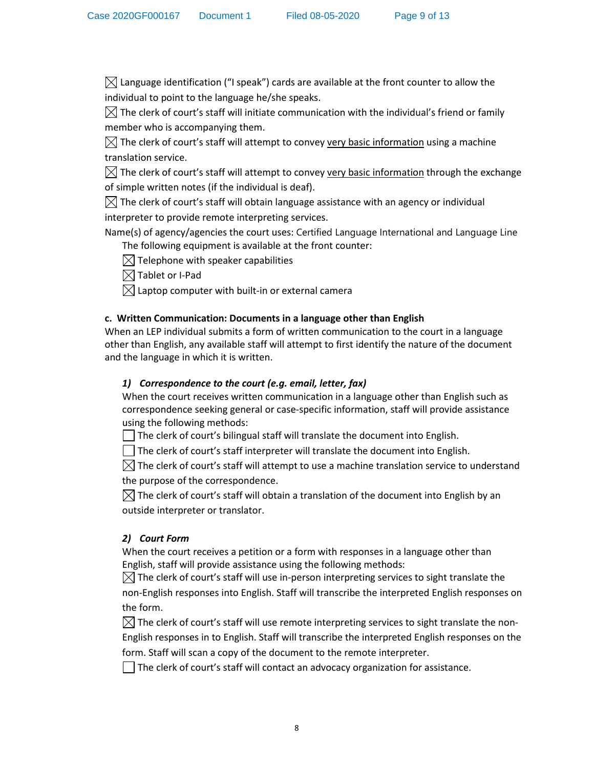$\boxtimes$  Language identification ("I speak") cards are available at the front counter to allow the individual to point to the language he/she speaks.

 $\boxtimes$  The clerk of court's staff will initiate communication with the individual's friend or family member who is accompanying them.

 $\boxtimes$  The clerk of court's staff will attempt to convey very basic information using a machine translation service.

 $\boxtimes$  The clerk of court's staff will attempt to convey very basic information through the exchange of simple written notes (if the individual is deaf).

 $\boxtimes$  The clerk of court's staff will obtain language assistance with an agency or individual interpreter to provide remote interpreting services.

Name(s) of agency/agencies the court uses: Certified Language International and Language Line The following equipment is available at the front counter:

 $\boxtimes$  Telephone with speaker capabilities

 $\boxtimes$  Tablet or I-Pad

 $\boxtimes$  Laptop computer with built-in or external camera

## **c. Written Communication: Documents in a language other than English**

When an LEP individual submits a form of written communication to the court in a language other than English, any available staff will attempt to first identify the nature of the document and the language in which it is written.

## *1) Correspondence to the court (e.g. email, letter, fax)*

When the court receives written communication in a language other than English such as correspondence seeking general or case-specific information, staff will provide assistance using the following methods:

 $\Box$  The clerk of court's bilingual staff will translate the document into English.

 $\Box$  The clerk of court's staff interpreter will translate the document into English.

 $\boxtimes$  The clerk of court's staff will attempt to use a machine translation service to understand the purpose of the correspondence.

 $\boxtimes$  The clerk of court's staff will obtain a translation of the document into English by an outside interpreter or translator.

## *2) Court Form*

When the court receives a petition or a form with responses in a language other than English, staff will provide assistance using the following methods:

 $\boxtimes$  The clerk of court's staff will use in-person interpreting services to sight translate the non-English responses into English. Staff will transcribe the interpreted English responses on the form.

 $\boxtimes$  The clerk of court's staff will use remote interpreting services to sight translate the non-English responses in to English. Staff will transcribe the interpreted English responses on the form. Staff will scan a copy of the document to the remote interpreter.

 $\vert \ \vert$  The clerk of court's staff will contact an advocacy organization for assistance.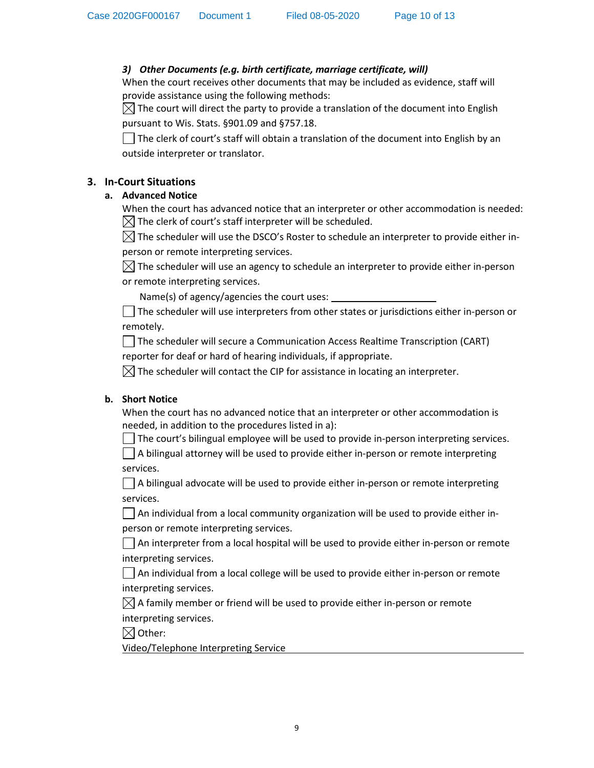## <span id="page-9-0"></span>*3) Other Documents (e.g. birth certificate, marriage certificate, will)*

When the court receives other documents that may be included as evidence, staff will provide assistance using the following methods:

 $\boxtimes$  The court will direct the party to provide a translation of the document into English pursuant to Wis. Stats. §901.09 and §757.18.

 $\Box$  The clerk of court's staff will obtain a translation of the document into English by an outside interpreter or translator.

## **3. In-Court Situations**

## **a. Advanced Notice**

When the court has advanced notice that an interpreter or other accommodation is needed:  $\boxtimes$  The clerk of court's staff interpreter will be scheduled.

 $\boxtimes$  The scheduler will use the DSCO's Roster to schedule an interpreter to provide either inperson or remote interpreting services.

 $\boxtimes$  The scheduler will use an agency to schedule an interpreter to provide either in-person or remote interpreting services.

Name(s) of agency/agencies the court uses:

 $\Box$  The scheduler will use interpreters from other states or jurisdictions either in-person or remotely.

The scheduler will secure a Communication Access Realtime Transcription (CART)

reporter for deaf or hard of hearing individuals, if appropriate.

 $\boxtimes$  The scheduler will contact the CIP for assistance in locating an interpreter.

## **b. Short Notice**

When the court has no advanced notice that an interpreter or other accommodation is needed, in addition to the procedures listed in a):

The court's bilingual employee will be used to provide in-person interpreting services.

 $\Box$  A bilingual attorney will be used to provide either in-person or remote interpreting services.

 $\Box$  A bilingual advocate will be used to provide either in-person or remote interpreting services.

 $\vert \ \vert$  An individual from a local community organization will be used to provide either inperson or remote interpreting services.

 $\Box$  An interpreter from a local hospital will be used to provide either in-person or remote interpreting services.

 $\vert \ \vert$  An individual from a local college will be used to provide either in-person or remote interpreting services.

 $\boxtimes$  A family member or friend will be used to provide either in-person or remote interpreting services.

 $\boxtimes$  Other:

Video/Telephone Interpreting Service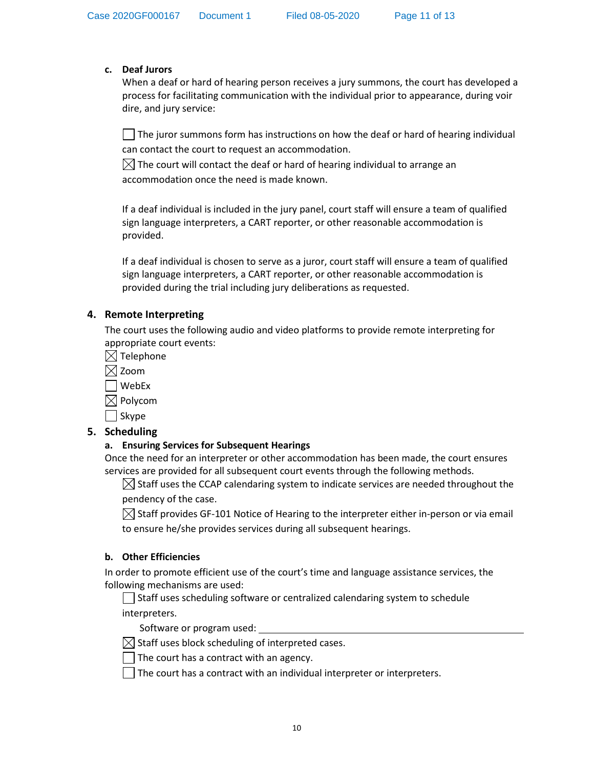#### <span id="page-10-0"></span>**c. Deaf Jurors**

When a deaf or hard of hearing person receives a jury summons, the court has developed a process for facilitating communication with the individual prior to appearance, during voir dire, and jury service:

 $\Box$  The juror summons form has instructions on how the deaf or hard of hearing individual can contact the court to request an accommodation.

 $\boxtimes$  The court will contact the deaf or hard of hearing individual to arrange an accommodation once the need is made known.

If a deaf individual is included in the jury panel, court staff will ensure a team of qualified sign language interpreters, a CART reporter, or other reasonable accommodation is provided.

If a deaf individual is chosen to serve as a juror, court staff will ensure a team of qualified sign language interpreters, a CART reporter, or other reasonable accommodation is provided during the trial including jury deliberations as requested.

## **4. Remote Interpreting**

The court uses the following audio and video platforms to provide remote interpreting for appropriate court events:

 $\boxtimes$  Telephone

 $\boxtimes$  Zoom

WebEx

 $\boxtimes$  Polycom

 $\Box$  Skype

## **5. Scheduling**

## **a. Ensuring Services for Subsequent Hearings**

Once the need for an interpreter or other accommodation has been made, the court ensures services are provided for all subsequent court events through the following methods.

 $\boxtimes$  Staff uses the CCAP calendaring system to indicate services are needed throughout the pendency of the case.

 $\boxtimes$  Staff provides GF-101 Notice of Hearing to the interpreter either in-person or via email to ensure he/she provides services during all subsequent hearings.

## **b. Other Efficiencies**

In order to promote efficient use of the court's time and language assistance services, the following mechanisms are used:

 $\Box$  Staff uses scheduling software or centralized calendaring system to schedule interpreters.

Software or program used:

 $\boxtimes$  Staff uses block scheduling of interpreted cases.

 $\Box$  The court has a contract with an agency.

The court has a contract with an individual interpreter or interpreters.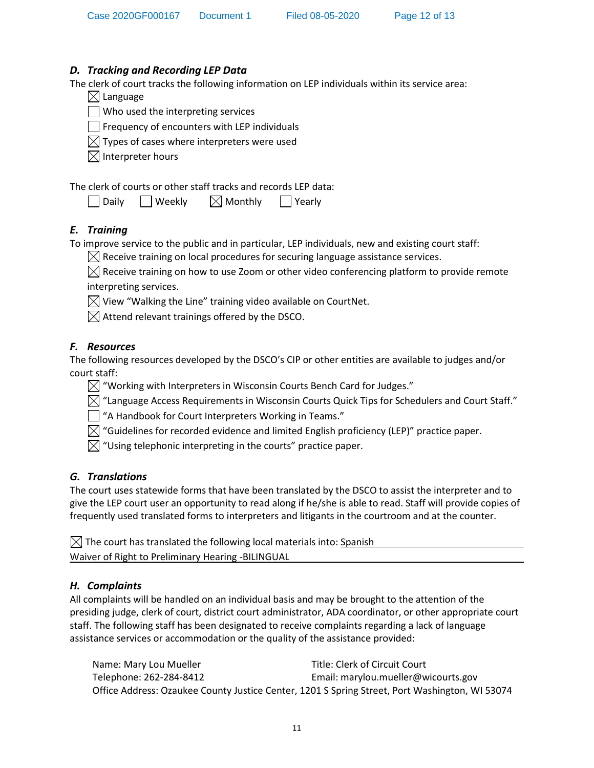## <span id="page-11-0"></span>*D. Tracking and Recording LEP Data*

The clerk of court tracks the following information on LEP individuals within its service area:

|  | $\boxtimes$ Language |  |
|--|----------------------|--|
|--|----------------------|--|

 $\Box$  Who used the interpreting services

 $\Box$  Frequency of encounters with LEP individuals

 $\boxtimes$  Types of cases where interpreters were used

 $\boxtimes$  Interpreter hours

The clerk of courts or other staff tracks and records LEP data:

| Daily | Weekly | $\boxtimes$ Monthly | Yearly |
|-------|--------|---------------------|--------|
|-------|--------|---------------------|--------|

# *E. Training*

To improve service to the public and in particular, LEP individuals, new and existing court staff:

 $\boxtimes$  Receive training on local procedures for securing language assistance services.

 $\boxtimes$  Receive training on how to use Zoom or other video conferencing platform to provide remote interpreting services.

 $\boxtimes$  View "Walking the Line" training video available on CourtNet.

 $\boxtimes$  Attend relevant trainings offered by the DSCO.

# *F. Resources*

The following resources developed by the DSCO's CIP or other entities are available to judges and/or court staff:

 $\boxtimes$  "Working with Interpreters in Wisconsin Courts Bench Card for Judges."

 $\boxtimes$  "Language Access Requirements in Wisconsin Courts Quick Tips for Schedulers and Court Staff."

"A Handbook for Court Interpreters Working in Teams."

 $\boxtimes$  "Guidelines for recorded evidence and limited English proficiency (LEP)" practice paper.

 $\boxtimes$  "Using telephonic interpreting in the courts" practice paper.

# *G. Translations*

The court uses statewide forms that have been translated by the DSCO to assist the interpreter and to give the LEP court user an opportunity to read along if he/she is able to read. Staff will provide copies of frequently used translated forms to interpreters and litigants in the courtroom and at the counter.

 $\boxtimes$  The court has translated the following local materials into: Spanish Waiver of Right to Preliminary Hearing -BILINGUAL

# *H. Complaints*

All complaints will be handled on an individual basis and may be brought to the attention of the presiding judge, clerk of court, district court administrator, ADA coordinator, or other appropriate court staff. The following staff has been designated to receive complaints regarding a lack of language assistance services or accommodation or the quality of the assistance provided:

Name: Mary Lou Mueller Title: Clerk of Circuit Court Telephone: 262-284-8412 Email: marylou.mueller@wicourts.gov Office Address: Ozaukee County Justice Center, 1201 S Spring Street, Port Washington, WI 53074